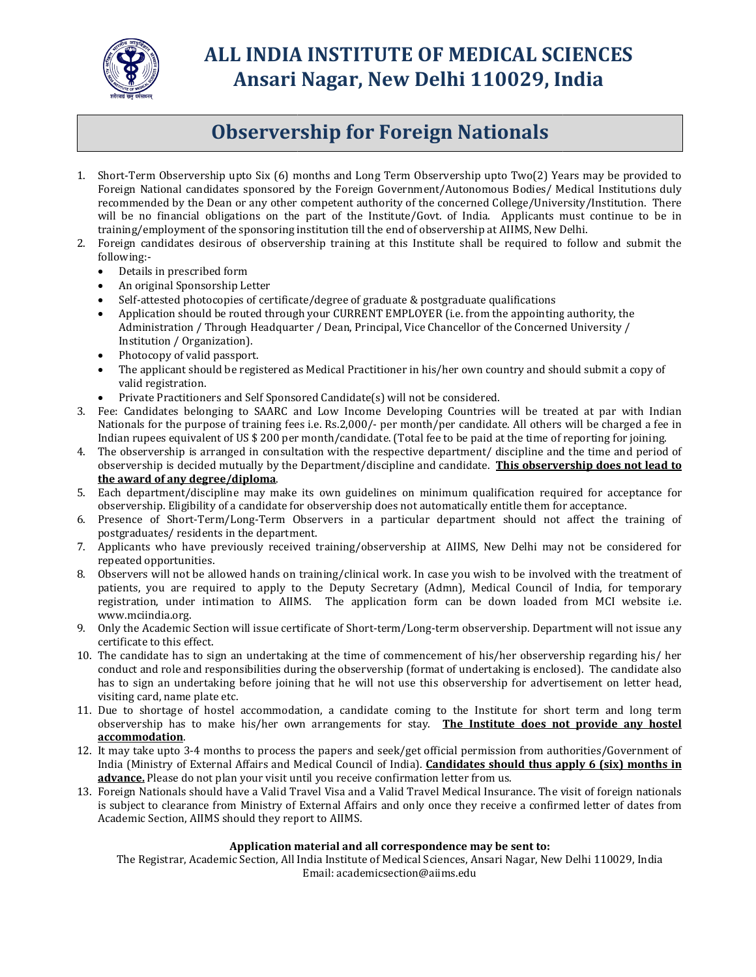

# ALL INDIA INSTITUTE OF MEDICAL SCIENCES ALL Ansari Nagar, New Delhi 110029, India New Delhi

# Observership for Foreign Nationals

- 1. Short-Term Observership upto Six (6) months and Long Term Observership upto Two(2) Years may be provided to Foreign National candidates sponsored by the Foreign Government/Autonomous sponsored Government/Autonomous Bodies/ Medical Institutions duly Short-Term Observership upto Six (6) months and Long Term Observership upto Two(2) Years may be provided to<br>Foreign National candidates sponsored by the Foreign Government/Autonomous Bodies/ Medical Institutions duly<br>recom recommended by the Dean or any other competent authority of the concerned College/University/Institution. There<br>will be no financial obligations on the part of the Institute/Govt. of India. Applicants must continue to be training/employment of the sponsoring institution till the end of observership at AIIMS, New Delhi.
- 2. Foreign candidates desirous of observership training at this Institute shall be required to follow and submit the following:-<br>
 Details in prescribed form<br>
 An original Sponsorship Letter<br>
 Self-attested photocopies following:-
	- Details in prescribed form
	- An original Sponsorship Letter
	- Self-attested photocopies of certificate/degree of graduate & postgraduate qualifications
	- Application should be routed through your CURRENT EMPLOYER (i.e. from the appointing authority, the Administration / Through Headquarter / Dean, Principal, Vice Chancellor of the Concerned University / Institution / Organization).
	- Photocopy of valid passport.
	- The applicant should be registered as Medical Practitioner in his/her own country and should submit a copy of valid registration. ration / Through Headquarter / Dean, Principal, Vice Chancellor of the Concerned University /<br>n / Organization).<br>y of valid passport.<br>cant should be registered as Medical Practitioner in his/her own country and should subm
	- Private Practitioners and Self Sponsored Candidate(s) will not be considered.
- 3. Fee: Candidates belonging to SAARC and Low Income Developing Countries will be treated at par with Indian Nationals for the purpose of training fees i.e. Rs.2,000/- per month/per candidate. All others will be charged a fee in Indian rupees equivalent of US \$ 200 per month/candidate. (Total fee to be paid at the time of reporting for joining. will be no financial obligations on the part of the Institute/Govt. of India. Applicants must continue to the spinal Sponsorsing institution till the end of observership at AIIMS, New Delhi.<br>
Foreign candidates desirous of
- 4. The observership is arranged in consultation with the respective department/ discipline and the time and period of The observership is arranged in consultation with the respective department/ discipline and the time and period of<br>observership is decided mutually by the Department/discipline and candidate. This observership does not lea **the award of any degree/diploma**.<br>5. Each department/discipline may make its own guidelines on minimum qualification required for acceptance for
- observership. Eligibility of a candidate for observership does not automati ie may make its own guidelines on minimum qualification required for acceptance for<br>a candidate for observership does not automatically entitle them for acceptance.
- 6. Presence of Short-Term/Long-Term Observers in a particular department should not affect the training of postgraduates/ residents in the department. Each department/discipline may make its own guidelines on minimum qualification required for acceptance for observership. Eligibility of a candidate for observership does not automatically entitle them for acceptance.<br>Pres
- 7. Applicants who have previously received training/observership at AIIMS, N New Delhi may not be considered for repeated opportunities.
- 8. Observers will not be allowed hands on training/clinical work. In case you wish to be involved with the treatment of patients, you are required to apply to the Deputy Secretary (Admn), Medical Council of India, for temporary registration, under intimation to AIIMS. The application form can be down loaded from MCI website i.e.<br>www.mciindia.org.<br>Only the Academic Section will issue certificate of Short-term/Long-term observership. Department wi www.mciindia.org.
- 9. Only the Academic Section will issue certificate of Short-term/Long-term observership. Department will not issue any certificate to this effect. registration, under intimation to AIIMS. The application form can be down loaded from MCI website i.e.<br>www.mciindia.org.<br>9. Only the Academic Section will issue certificate of Short-term/Long-term observership. Department
- conduct and role and responsibilities during the observership (format of undertaking is enclosed). The candidate also has to sign an undertaking before joining that he will not use this observership for advertisement on letter head, visiting card, name plate etc. has to sign an undertaking before joining that he will not use this observership for advertisement on letter head,<br>visiting card, name plate etc.<br>11. Due to shortage of hostel accommodation, a candidate coming to the Insti
- observership has to make his/her own arrangements for stay. The Institute does not provide any hostel accommodation.<br>12. It may take upto 3-4 months to process the papers and seek/get official permission from authorities/Government of
- India (Ministry of External Affairs and Medical Council of India). **Candidates should thus apply 6 (six) months in** advance. Please do not plan your visit until you receive confirmation letter from us. 4 months to process the papers and seek/get official permission from authorities/Government of<br>External Affairs and Medical Council of India). **Candidates should thus apply 6 (six) months in**
- advance. Please do not plan your visit until you receive confirmation letter from us.<br>13. Foreign Nationals should have a Valid Travel Visa and a Valid Travel Medical Insurance. The visit of foreign nationals is subject to clearance from Ministry of External Affairs and only once they receive a confirmed letter of dates from<br>Academic Section, AIIMS should they report to AIIMS. Academic Section, AIIMS should they report to AIIMS. reign Nationals should have a Valid Travel Visa and a Valid Travel Medical Insurance. The visit of foreign is<br>subject to clearance from Ministry of External Affairs and only once they receive a confirmed letter of data<br>ade

### Application mat material and all correspondence may be sent to:

The Registrar, Academic Section, All India Institute of Medical Sciences, Ansari Nagar, New Delhi 110029, India Email: academicsection@aiims.edu